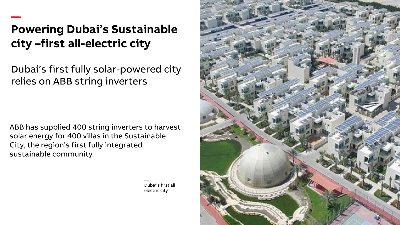## **Powering Dubai's Sustainable city –first all-electric city**

—

Dubai's first fully solar-powered city relies on ABB string inverters

ABB has supplied 400 string inverters to harvest solar energy for 400 villas in the Sustainable City, the region's first fully integrated sustainable community

> — Dubai's first all electric city